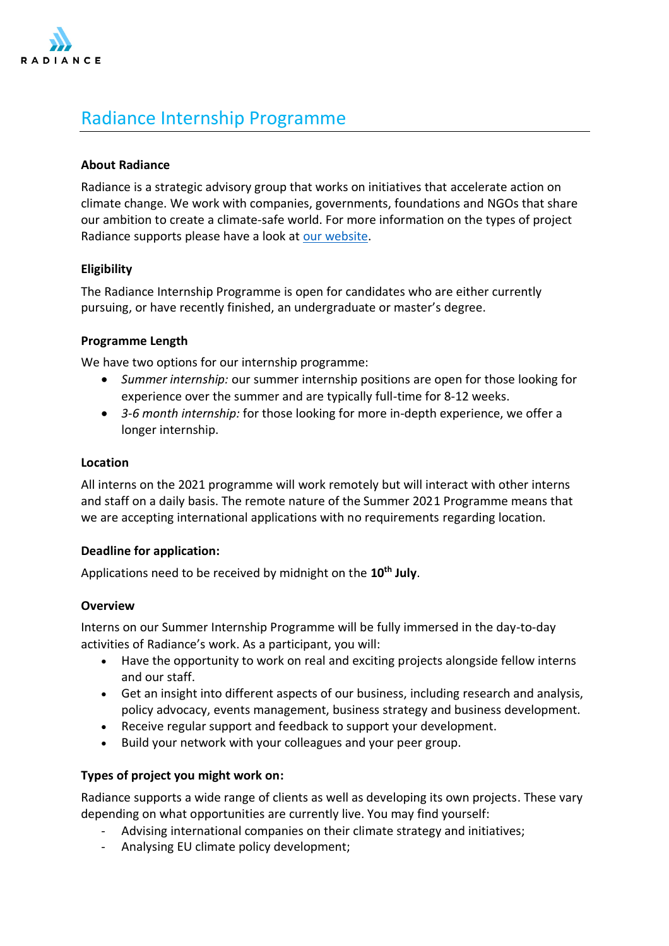

# Radiance Internship Programme

## **About Radiance**

Radiance is a strategic advisory group that works on initiatives that accelerate action on climate change. We work with companies, governments, foundations and NGOs that share our ambition to create a climate-safe world. For more information on the types of project Radiance supports please have a look at [our website.](https://www.radiance.international/projects)

## **Eligibility**

The Radiance Internship Programme is open for candidates who are either currently pursuing, or have recently finished, an undergraduate or master's degree.

### **Programme Length**

We have two options for our internship programme:

- *Summer internship:* our summer internship positions are open for those looking for experience over the summer and are typically full-time for 8-12 weeks.
- *3*-*6 month internship:* for those looking for more in-depth experience, we offer a longer internship.

### **Location**

All interns on the 2021 programme will work remotely but will interact with other interns and staff on a daily basis. The remote nature of the Summer 2021 Programme means that we are accepting international applications with no requirements regarding location.

### **Deadline for application:**

Applications need to be received by midnight on the **10th July**.

### **Overview**

Interns on our Summer Internship Programme will be fully immersed in the day-to-day activities of Radiance's work. As a participant, you will:

- Have the opportunity to work on real and exciting projects alongside fellow interns and our staff.
- Get an insight into different aspects of our business, including research and analysis, policy advocacy, events management, business strategy and business development.
- Receive regular support and feedback to support your development.
- Build your network with your colleagues and your peer group.

## **Types of project you might work on:**

Radiance supports a wide range of clients as well as developing its own projects. These vary depending on what opportunities are currently live. You may find yourself:

- Advising international companies on their climate strategy and initiatives;
- Analysing EU climate policy development;